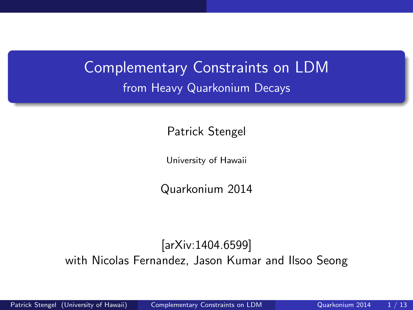## <span id="page-0-0"></span>Complementary Constraints on LDM from Heavy Quarkonium Decays

Patrick Stengel

University of Hawaii

Quarkonium 2014

#### [arXiv:1404.6599] with Nicolas Fernandez, Jason Kumar and Ilsoo Seong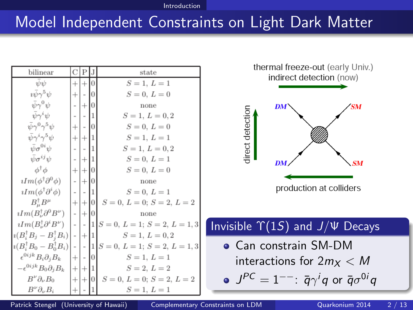#### [Introduction](#page-1-0)

#### <span id="page-1-0"></span>Model Independent Constraints on Light Dark Matter

| bilinear                                                                  | С                        | ΙP          |    | state                                                                                    |
|---------------------------------------------------------------------------|--------------------------|-------------|----|------------------------------------------------------------------------------------------|
| $\psi\psi$                                                                |                          | $+ + 0$     |    | $S = 1, L = 1$                                                                           |
| $i\bar{\psi}\gamma^5\psi$                                                 |                          | $+$   -   0 |    | $S = 0, L = 0$                                                                           |
| $\bar{\psi}\gamma^0\psi$                                                  |                          | $+10$       |    | none                                                                                     |
| $\bar{\psi}\gamma^i\psi$                                                  | $\overline{\phantom{a}}$ | - 11        |    | $S = 1, L = 0, 2$                                                                        |
| $\bar{\psi}\gamma^0\gamma^5\psi$                                          | $+1$                     | $-10$       |    | $S = 0, L = 0$                                                                           |
| $\bar{\psi}\gamma^i\gamma^5\psi$                                          |                          | $+ + 1$     |    | $S = 1, L = 1$                                                                           |
| $\bar{\psi}\sigma^{0i}\psi$                                               |                          |             | I1 | $S = 1, L = 0, 2$                                                                        |
| $\bar{\psi} \sigma^{ij} \psi$                                             | $\overline{\phantom{a}}$ | $+1$        |    | $S = 0, L = 1$                                                                           |
| $\phi^{\dagger} \phi$                                                     |                          | $+ + 0 $    |    | $S = 0, L = 0$                                                                           |
| $iIm(\phi^{\dagger}\partial^{0}\phi)$                                     |                          | $- + 0 $    |    | none                                                                                     |
| $iIm(\phi^{\dagger}\partial^i\phi)$                                       |                          | $-1-1$      |    | $S = 0, L = 1$                                                                           |
| $B^{\dagger}_{\mu}B^{\mu}$                                                |                          | $+ + 0 $    |    | $S = 0, L = 0; S = 2, L = 2$                                                             |
| $\lim_{\nu} (B_{\nu}^{\dagger} \partial^0 B^{\nu})$ - $  \cdot   \cdot  $ |                          |             |    | none                                                                                     |
|                                                                           |                          |             |    | $\iota Im(B_{\nu}^{\dagger} \partial^i B^{\nu})$  - - 1  $S = 0, L = 1; S = 2, L = 1, 3$ |
| $i(B_i^{\dagger} B_j - B_i^{\dagger} B_i)$ - $ + 1 $                      |                          |             |    | $S=1, L=0, 2$                                                                            |
|                                                                           |                          |             |    | $i(B_i^{\dagger} B_0 - B_0^{\dagger} B_i)$ - $-1S = 0, L = 1; S = 2, L = 1, 3$           |
| $\epsilon^{0ijk}B_i\partial_jB_k$                                         |                          | $+$ - 0     |    | $S = 1, L = 1$                                                                           |
| $-\epsilon^{0ijk}B_0\partial_jB_k$                                        |                          | $ + + 1 $   |    | $S = 2, L = 2$                                                                           |
| $B^{\nu}\partial_{\nu}B_0$                                                |                          | $+ + 0 $    |    | $S = 0, L = 0; S = 2, L = 2$                                                             |
| $B^{\nu}\partial_{\nu}B_i$                                                | $+$                      |             |    | $S = 1, L = 1$                                                                           |



Patrick Stengel (University of Hawaii) [Complementary Constraints on LDM](#page-0-0) Quarkonium 2014 2 / 13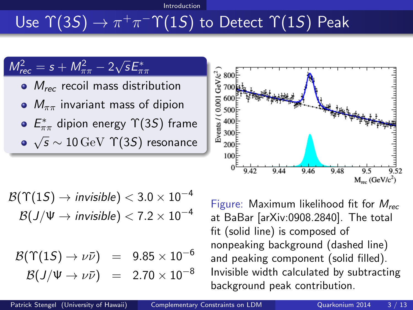#### [Introduction](#page-2-0)

# <span id="page-2-0"></span>Use  $\Upsilon(3S) \to \pi^+\pi^-\Upsilon(1S)$  to Detect  $\Upsilon(1S)$  Peak



$$
\mathcal{B}(\Upsilon(1S) \to invisible) < 3.0 \times 10^{-4}
$$
  

$$
\mathcal{B}(J/\Psi \to invisible) < 7.2 \times 10^{-4}
$$

$$
\mathcal{B}(\Upsilon(1S) \to \nu \bar{\nu}) = 9.85 \times 10^{-6}
$$
  

$$
\mathcal{B}(J/\Psi \to \nu \bar{\nu}) = 2.70 \times 10^{-8}
$$

Figure: Maximum likelihood fit for  $M_{rec}$ at BaBar [arXiv:0908.2840]. The total fit (solid line) is composed of nonpeaking background (dashed line) and peaking component (solid filled). Invisible width calculated by subtracting background peak contribution.

 $M_{\text{rec}}$  (GeV/ $c^2$ )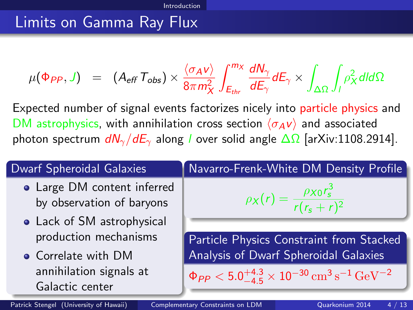#### <span id="page-3-0"></span>Limits on Gamma Ray Flux

$$
\mu(\Phi_{PP}, J) = (A_{eff} T_{obs}) \times \frac{\langle \sigma_A v \rangle}{8\pi m_X^2} \int_{E_{thr}}^{m_X} \frac{dN_{\gamma}}{dE_{\gamma}} dE_{\gamma} \times \int_{\Delta\Omega} \int_{I} \rho_X^2 dl d\Omega
$$

Expected number of signal events factorizes nicely into particle physics and DM astrophysics, with annihilation cross section  $\langle \sigma_A v \rangle$  and associated photon spectrum  $dN_{\gamma}/dE_{\gamma}$  along l over solid angle  $\Delta\Omega$  [arXiv:1108.2914].

| <b>Dwarf Spheroidal Galaxies</b>                         | Navarro-Frenk-White DM Density Profile                                                                  |
|----------------------------------------------------------|---------------------------------------------------------------------------------------------------------|
| • Large DM content inferred<br>by observation of baryons | $\rho_X(r) = \frac{\rho_{X0}r_s^3}{r(r_s+r)^2}$                                                         |
| • Lack of SM astrophysical                               |                                                                                                         |
| production mechanisms                                    | Particle Physics Constraint from Stacked                                                                |
| • Correlate with DM                                      | Analysis of Dwarf Spheroidal Galaxies                                                                   |
| annihilation signals at<br>Galactic center               | $\Phi_{PP}$ < 5.0 <sup>+4.3</sup> × 10 <sup>-30</sup> cm <sup>3</sup> s <sup>-1</sup> GeV <sup>-2</sup> |

Patrick Stengel (University of Hawaii) [Complementary Constraints on LDM](#page-0-0) Quarkonium 2014 4 / 13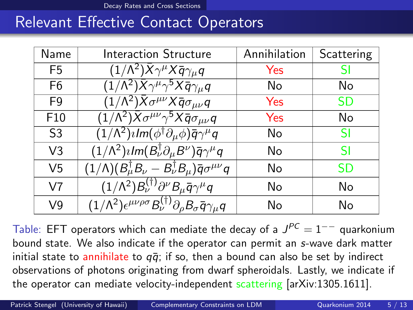[Decay Rates and Cross Sections](#page-4-0)

#### <span id="page-4-0"></span>Relevant Effective Contact Operators

| Name            | <b>Interaction Structure</b>                                                                                          | Annihilation | Scattering |
|-----------------|-----------------------------------------------------------------------------------------------------------------------|--------------|------------|
| F <sub>5</sub>  | $(1/\Lambda^2)\bar{X}\gamma^\mu X \bar{q}\gamma_\mu q$                                                                | Yes          | SI         |
| F6              | $\overline{(1/\Lambda^2)\bar{X}\gamma^\mu\gamma^5X\bar{q}\gamma_\mu q}$                                               | No           | No         |
| F <sub>9</sub>  | $\overline{(1/\Lambda^2)\bar{X}\sigma^{\mu\nu}X\bar{q}\sigma_{\mu\nu}q}$                                              | Yes          | SD         |
| F <sub>10</sub> | $\overline{(1/\Lambda^2)\bar{X}\sigma^{\mu\nu}\gamma^5X\bar{q}\sigma_{\mu\nu}q}$                                      | Yes          | No         |
| S <sub>3</sub>  | $\overline{(1/\Lambda^2)\imath\textit{Im}(\phi^\dagger \partial_\mu \phi)\bar q \gamma^\mu q}$                        | No           | SI         |
| V <sub>3</sub>  | $(1/\Lambda^2)$ <i>i</i> $Im(B^{\dagger}_{\nu}\partial_{\mu}B^{\nu})\bar{q}\gamma^{\mu}q$                             | No           | <b>SI</b>  |
| V <sub>5</sub>  | $(1/\Lambda)(B_\mu^\dagger B_\nu - B_\nu^\dagger B_\mu)\overline{q}\sigma^{\mu\nu}q$                                  | No           | SD         |
| V <sub>7</sub>  | $\overline{(1/\Lambda^2)}B_{\nu}^{(\dagger)}\partial^{\nu}B_{\mu}\overline{q}\gamma^{\mu}q$                           | No           | No         |
| V <sub>9</sub>  | $\overline{(1/\Lambda^2)\epsilon^{\mu\nu\rho\sigma}B_{\nu}^{(\dagger)}\partial_{\rho}B_{\sigma}\bar{q}}\gamma_{\mu}q$ | No           | No         |

Table: EFT operators which can mediate the decay of a  $J^{PC} = 1^{--}$  quarkonium bound state. We also indicate if the operator can permit an s-wave dark matter initial state to annihilate to  $q\bar{q}$ ; if so, then a bound can also be set by indirect observations of photons originating from dwarf spheroidals. Lastly, we indicate if the operator can mediate velocity-independent scattering [arXiv:1305.1611].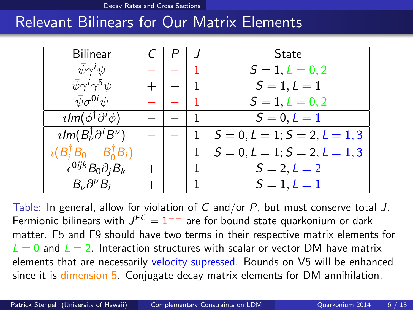[Decay Rates and Cross Sections](#page-5-0)

#### <span id="page-5-0"></span>Relevant Bilinears for Our Matrix Elements

| <b>Bilinear</b>                                         |  |   | State                           |
|---------------------------------------------------------|--|---|---------------------------------|
| $\psi \gamma' \psi$                                     |  |   | $S = 1, L = 0, 2$               |
| $\psi \gamma' \gamma^5 \psi$                            |  |   | $S = 1, L = 1$                  |
| $\psi \sigma^{0i} \psi$                                 |  |   | $S = 1, L = 0, 2$               |
| $\iota$ lm $(\phi^{\dagger} \partial^i \phi)$           |  |   | $S = 0, L = 1$                  |
| $\imath$ Im( $B_{\nu}^{\dagger} \partial^{i} B^{\nu}$ ) |  |   | $S = 0, L = 1; S = 2, L = 1, 3$ |
| $i(B_i^{\dagger}B_0 - B_0^{\dagger}B_i)$                |  | 1 | $S = 0, L = 1; S = 2, L = 1, 3$ |
| $\overline{-\epsilon^{0ijk}}B_0\partial_iB_k$           |  |   | $S = 2, L = 2$                  |
| $B_{\nu}\partial^{\nu}B_i$                              |  |   | $S = 1, L = 1$                  |

Table: In general, allow for violation of C and/or  $P$ , but must conserve total J. Fermionic bilinears with  $J^{PC} = 1^{--}$  are for bound state quarkonium or dark matter. F5 and F9 should have two terms in their respective matrix elements for  $L = 0$  and  $L = 2$ . Interaction structures with scalar or vector DM have matrix elements that are necessarily velocity supressed. Bounds on V5 will be enhanced since it is dimension 5. Conjugate decay matrix elements for DM annihilation.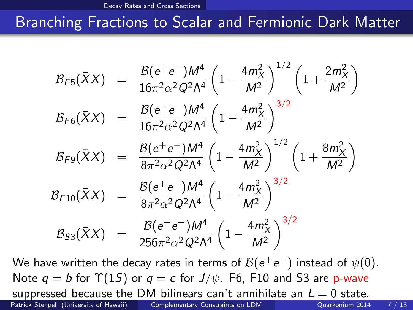[Decay Rates and Cross Sections](#page-6-0)

### <span id="page-6-0"></span>Branching Fractions to Scalar and Fermionic Dark Matter

$$
B_{F5}(\bar{X}X) = \frac{B(e^+e^-)M^4}{16\pi^2\alpha^2Q^2\Lambda^4} \left(1 - \frac{4m_X^2}{M^2}\right)^{1/2} \left(1 + \frac{2m_X^2}{M^2}\right)
$$
  
\n
$$
B_{F6}(\bar{X}X) = \frac{B(e^+e^-)M^4}{16\pi^2\alpha^2Q^2\Lambda^4} \left(1 - \frac{4m_X^2}{M^2}\right)^{3/2}
$$
  
\n
$$
B_{F9}(\bar{X}X) = \frac{B(e^+e^-)M^4}{8\pi^2\alpha^2Q^2\Lambda^4} \left(1 - \frac{4m_X^2}{M^2}\right)^{1/2} \left(1 + \frac{8m_X^2}{M^2}\right)
$$
  
\n
$$
B_{F10}(\bar{X}X) = \frac{B(e^+e^-)M^4}{8\pi^2\alpha^2Q^2\Lambda^4} \left(1 - \frac{4m_X^2}{M^2}\right)^{3/2}
$$
  
\n
$$
B_{53}(\bar{X}X) = \frac{B(e^+e^-)M^4}{256\pi^2\alpha^2Q^2\Lambda^4} \left(1 - \frac{4m_X^2}{M^2}\right)^{3/2}
$$

We have written the decay rates in terms of  $\mathcal{B}(e^+e^-)$  instead of  $\psi(0).$ Note  $q = b$  for  $\Upsilon(1S)$  or  $q = c$  for  $J/\psi$ . F6, F10 and S3 are p-wave suppressed because the DM bilinears can't annihilate an  $L = 0$  state. Patrick Stengel (University of Hawaii) [Complementary Constraints on LDM](#page-0-0) Quarkonium 2014 7 / 13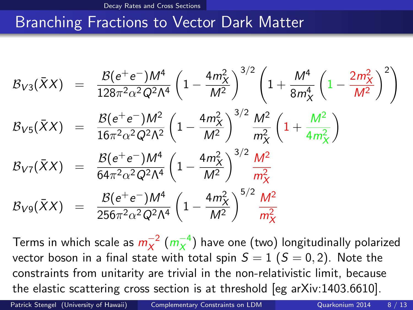### <span id="page-7-0"></span>Branching Fractions to Vector Dark Matter

$$
B_{V3}(\bar{X}X) = \frac{B(e^+e^-)M^4}{128\pi^2\alpha^2Q^2\Lambda^4} \left(1 - \frac{4m_X^2}{M^2}\right)^{3/2} \left(1 + \frac{M^4}{8m_X^4} \left(1 - \frac{2m_X^2}{M^2}\right)^2\right)
$$
  
\n
$$
B_{V5}(\bar{X}X) = \frac{B(e^+e^-)M^2}{16\pi^2\alpha^2Q^2\Lambda^2} \left(1 - \frac{4m_X^2}{M^2}\right)^{3/2} \frac{M^2}{m_X^2} \left(1 + \frac{M^2}{4m_X^2}\right)
$$
  
\n
$$
B_{V7}(\bar{X}X) = \frac{B(e^+e^-)M^4}{64\pi^2\alpha^2Q^2\Lambda^4} \left(1 - \frac{4m_X^2}{M^2}\right)^{3/2} \frac{M^2}{m_X^2}
$$
  
\n
$$
B_{V9}(\bar{X}X) = \frac{B(e^+e^-)M^4}{256\pi^2\alpha^2Q^2\Lambda^4} \left(1 - \frac{4m_X^2}{M^2}\right)^{5/2} \frac{M^2}{m_X^2}
$$

Terms in which scale as  $m^{-2}_X$  $\frac{-2}{x}$  ( $m_X^{-4}$  $\frac{-4}{x}$ ) have one (two) longitudinally polarized vector boson in a final state with total spin  $S = 1$  ( $S = 0, 2$ ). Note the constraints from unitarity are trivial in the non-relativistic limit, because the elastic scattering cross section is at threshold [eg arXiv:1403.6610].

Patrick Stengel (University of Hawaii) [Complementary Constraints on LDM](#page-0-0) Quarkonium 2014 8 / 13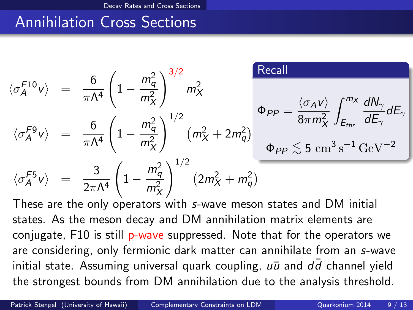#### <span id="page-8-0"></span>Annihilation Cross Sections

$$
\langle \sigma_A^{F10} v \rangle = \frac{6}{\pi \Lambda^4} \left( 1 - \frac{m_q^2}{m_X^2} \right)^{3/2} m_X^2
$$
  
\n
$$
\langle \sigma_A^{F9} v \rangle = \frac{6}{\pi \Lambda^4} \left( 1 - \frac{m_q^2}{m_X^2} \right)^{1/2} \left( m_X^2 + 2m_q^2 \right)
$$
  
\n
$$
\langle \sigma_A^{F9} v \rangle = \frac{3}{2\pi \Lambda^4} \left( 1 - \frac{m_q^2}{m_X^2} \right)^{1/2} \left( m_X^2 + 2m_q^2 \right)
$$
  
\n
$$
\Phi_{PP} \leq 5 \text{ cm}^3 \text{ s}^{-1} \text{ GeV}^{-2}
$$
  
\n
$$
\langle \sigma_A^{F5} v \rangle = \frac{3}{2\pi \Lambda^4} \left( 1 - \frac{m_q^2}{m_X^2} \right)^{1/2} \left( 2m_X^2 + m_q^2 \right)
$$

These are the only operators with s-wave meson states and DM initial states. As the meson decay and DM annihilation matrix elements are conjugate, F10 is still p-wave suppressed. Note that for the operators we are considering, only fermionic dark matter can annihilate from an s-wave initial state. Assuming universal quark coupling,  $u\bar{u}$  and  $dd$  channel yield the strongest bounds from DM annihilation due to the analysis threshold.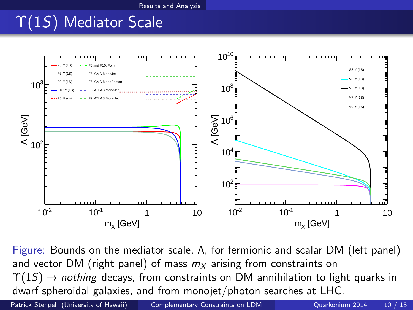[Results and Analysis](#page-9-0)

# <span id="page-9-0"></span>Υ(1S) Mediator Scale



Figure: Bounds on the mediator scale, Λ, for fermionic and scalar DM (left panel) and vector DM (right panel) of mass  $m<sub>X</sub>$  arising from constraints on  $\Upsilon(1S) \rightarrow$  nothing decays, from constraints on DM annihilation to light quarks in dwarf spheroidal galaxies, and from monojet/photon searches at LHC.

Patrick Stengel (University of Hawaii) [Complementary Constraints on LDM](#page-0-0) Quarkonium 2014 10 / 13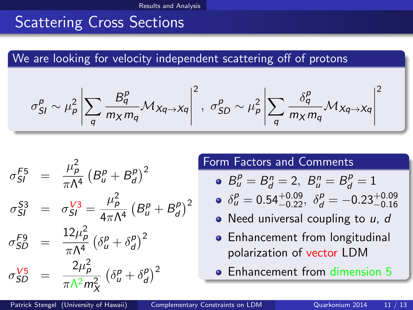#### <span id="page-10-0"></span>Scattering Cross Sections

We are looking for velocity independent scattering off of protons

$$
\sigma_{SI}^P \sim \mu_P^2 \left| \sum_q \frac{B_q^P}{m_X m_q} \mathcal{M}_{Xq \to Xq} \right|^2, \ \sigma_{SD}^P \sim \mu_P^2 \left| \sum_q \frac{\delta_q^P}{m_X m_q} \mathcal{M}_{Xq \to Xq} \right|^2
$$

$$
\sigma_{SI}^{F5} = \frac{\mu_p^2}{\pi \Lambda^4} (B_u^p + B_d^p)^2
$$
  
\n
$$
\sigma_{SI}^{S3} = \sigma_{SI}^{V3} = \frac{\mu_p^2}{4\pi \Lambda^4} (B_u^p + B_d^p)^2
$$
  
\n
$$
\sigma_{SD}^{F9} = \frac{12\mu_p^2}{\pi \Lambda^4} (\delta_u^p + \delta_d^p)^2
$$
  
\n
$$
\sigma_{SD}^{V5} = \frac{2\mu_p^2}{\pi \Lambda^2 m_X^2} (\delta_u^p + \delta_d^p)^2
$$

#### Form Factors and Comments

• 
$$
B_u^p = B_d^n = 2
$$
,  $B_u^n = B_d^p = 1$ 

• 
$$
\delta_{u}^{p} = 0.54_{-0.22}^{+0.09}
$$
,  $\delta_{d}^{p} = -0.23_{-0.16}^{+0.09}$ 

- $\bullet$  Need universal coupling to  $u, d$
- Enhancement from longitudinal polarization of vector LDM
- **Enhancement from dimension 5**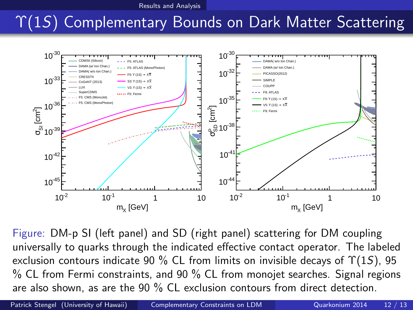[Results and Analysis](#page-11-0)

# <span id="page-11-0"></span>Υ(1S) Complementary Bounds on Dark Matter Scattering



Figure: DM-p SI (left panel) and SD (right panel) scattering for DM coupling universally to quarks through the indicated effective contact operator. The labeled exclusion contours indicate 90 % CL from limits on invisible decays of  $\Upsilon(1S)$ , 95 % CL from Fermi constraints, and 90 % CL from monojet searches. Signal regions are also shown, as are the 90 % CL exclusion contours from direct detection.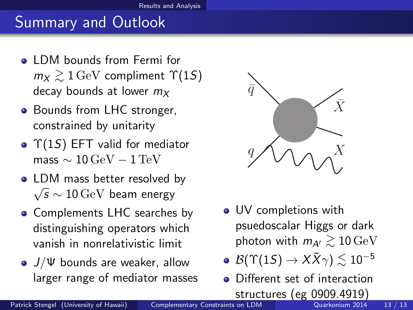## <span id="page-12-0"></span>Summary and Outlook

- **o** LDM bounds from Fermi for  $m_X \gtrsim 1 \,\mathrm{GeV}$  compliment  $\Upsilon(15)$ decay bounds at lower  $m<sub>X</sub>$
- Bounds from LHC stronger, constrained by unitarity
- $\bullet$   $\Upsilon(15)$  EFT valid for mediator mass  $\sim 10 \,\text{GeV} - 1 \,\text{TeV}$
- LDM mass better resolved by  $\sqrt{s} \sim 10 \,\text{GeV}$  beam energy
- Complements LHC searches by distinguishing operators which vanish in nonrelativistic limit
- $\bullet$   $J/\Psi$  bounds are weaker, allow larger range of mediator masses



- UV completions with psuedoscalar Higgs or dark photon with  $m_{A'} \gtrsim 10 \,\text{GeV}$
- $\bullet$   $\mathcal{B}(\Upsilon(1S) \to X\bar{X}\gamma) \lesssim 10^{-5}$
- Different set of interaction **structures (eg 0909.4919)**<br>Complementary Constraints on LDM **Constraints** on LDM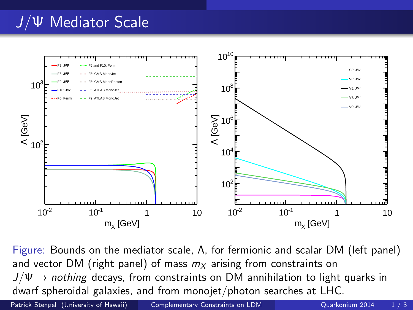# J/Ψ Mediator Scale



Figure: Bounds on the mediator scale, Λ, for fermionic and scalar DM (left panel) and vector DM (right panel) of mass  $m<sub>X</sub>$  arising from constraints on  $J/\Psi \rightarrow$  nothing decays, from constraints on DM annihilation to light quarks in dwarf spheroidal galaxies, and from monojet/photon searches at LHC.

Patrick Stengel (University of Hawaii) [Complementary Constraints on LDM](#page-0-0) Quarkonium 2014 1/3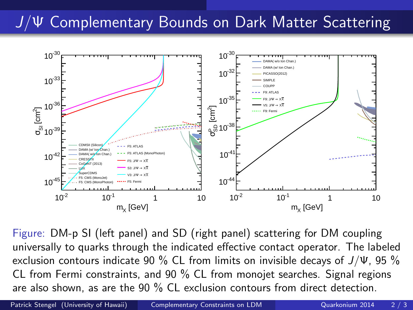## J/Ψ Complementary Bounds on Dark Matter Scattering



Figure: DM-p SI (left panel) and SD (right panel) scattering for DM coupling universally to quarks through the indicated effective contact operator. The labeled exclusion contours indicate 90 % CL from limits on invisible decays of  $J/\Psi$ , 95 % CL from Fermi constraints, and 90 % CL from monojet searches. Signal regions are also shown, as are the 90 % CL exclusion contours from direct detection.